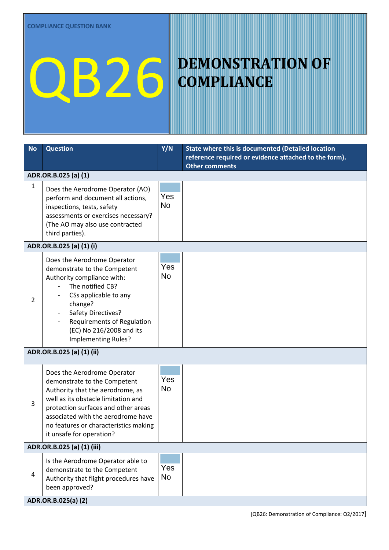## QB26 DEMONSTRATION OF

## **COMPLIANCE**

| <b>No</b>                  | <b>Question</b>                                                                                                                                                                                                                                                                          | Y/N              | State where this is documented (Detailed location                              |  |  |
|----------------------------|------------------------------------------------------------------------------------------------------------------------------------------------------------------------------------------------------------------------------------------------------------------------------------------|------------------|--------------------------------------------------------------------------------|--|--|
|                            |                                                                                                                                                                                                                                                                                          |                  | reference required or evidence attached to the form).<br><b>Other comments</b> |  |  |
| ADR.OR.B.025 (a) (1)       |                                                                                                                                                                                                                                                                                          |                  |                                                                                |  |  |
| 1                          | Does the Aerodrome Operator (AO)<br>perform and document all actions,<br>inspections, tests, safety<br>assessments or exercises necessary?<br>(The AO may also use contracted<br>third parties).                                                                                         | Yes<br><b>No</b> |                                                                                |  |  |
| ADR.OR.B.025 (a) (1) (i)   |                                                                                                                                                                                                                                                                                          |                  |                                                                                |  |  |
| 2                          | Does the Aerodrome Operator<br>demonstrate to the Competent<br>Authority compliance with:<br>The notified CB?<br>CSs applicable to any<br>change?<br>Safety Directives?<br>Requirements of Regulation<br>(EC) No 216/2008 and its<br>Implementing Rules?                                 | Yes<br><b>No</b> |                                                                                |  |  |
| ADR.OR.B.025 (a) (1) (ii)  |                                                                                                                                                                                                                                                                                          |                  |                                                                                |  |  |
| 3                          | Does the Aerodrome Operator<br>demonstrate to the Competent<br>Authority that the aerodrome, as<br>well as its obstacle limitation and<br>protection surfaces and other areas<br>associated with the aerodrome have<br>no features or characteristics making<br>it unsafe for operation? | Yes<br>No        |                                                                                |  |  |
| ADR.OR.B.025 (a) (1) (iii) |                                                                                                                                                                                                                                                                                          |                  |                                                                                |  |  |
| $\overline{4}$             | Is the Aerodrome Operator able to<br>demonstrate to the Competent<br>Authority that flight procedures have<br>been approved?                                                                                                                                                             | Yes<br>No        |                                                                                |  |  |
| ADR.OR.B.025(a) (2)        |                                                                                                                                                                                                                                                                                          |                  |                                                                                |  |  |